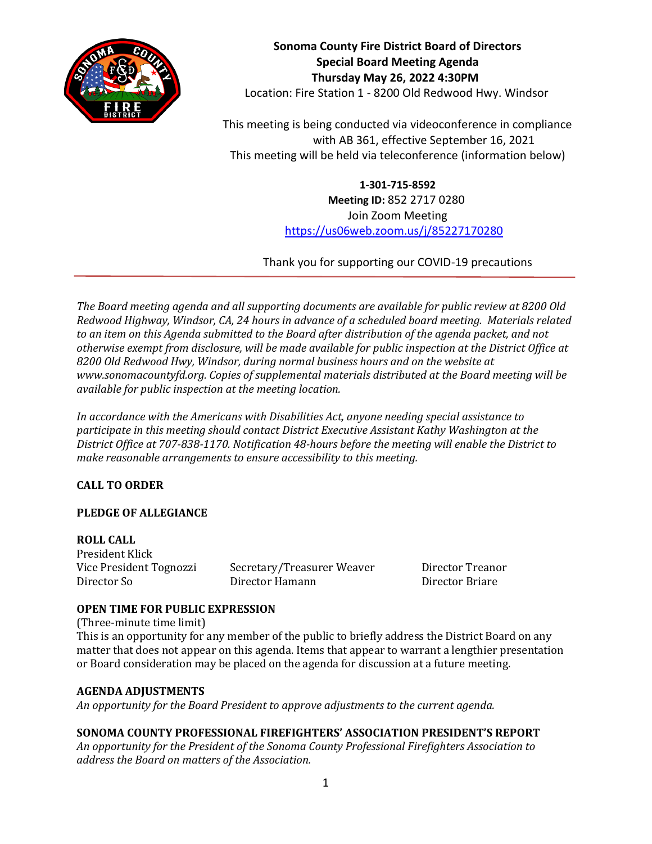

**Sonoma County Fire District Board of Directors Special Board Meeting Agenda Thursday May 26, 2022 4:30PM** Location: Fire Station 1 - 8200 Old Redwood Hwy. Windsor

This meeting is being conducted via videoconference in compliance with AB 361, effective September 16, 2021 This meeting will be held via teleconference (information below)

> **1-301-715-8592 Meeting ID:** 852 2717 0280 Join Zoom Meeting <https://us06web.zoom.us/j/85227170280>

Thank you for supporting our COVID-19 precautions

*The Board meeting agenda and all supporting documents are available for public review at 8200 Old Redwood Highway, Windsor, CA, 24 hours in advance of a scheduled board meeting. Materials related to an item on this Agenda submitted to the Board after distribution of the agenda packet, and not otherwise exempt from disclosure, will be made available for public inspection at the District Office at 8200 Old Redwood Hwy, Windsor, during normal business hours and on the website at www.sonomacountyfd.org. Copies of supplemental materials distributed at the Board meeting will be available for public inspection at the meeting location.*

*In accordance with the Americans with Disabilities Act, anyone needing special assistance to participate in this meeting should contact District Executive Assistant Kathy Washington at the District Office at 707-838-1170. Notification 48-hours before the meeting will enable the District to make reasonable arrangements to ensure accessibility to this meeting.*

## **CALL TO ORDER**

## **PLEDGE OF ALLEGIANCE**

**ROLL CALL** President Klick Vice President Tognozzi Secretary/Treasurer Weaver Director Treanor Director So Director Hamann Director Briare

## **OPEN TIME FOR PUBLIC EXPRESSION**

(Three-minute time limit)

This is an opportunity for any member of the public to briefly address the District Board on any matter that does not appear on this agenda. Items that appear to warrant a lengthier presentation or Board consideration may be placed on the agenda for discussion at a future meeting.

## **AGENDA ADJUSTMENTS**

*An opportunity for the Board President to approve adjustments to the current agenda.*

# **SONOMA COUNTY PROFESSIONAL FIREFIGHTERS' ASSOCIATION PRESIDENT'S REPORT**

*An opportunity for the President of the Sonoma County Professional Firefighters Association to address the Board on matters of the Association.*